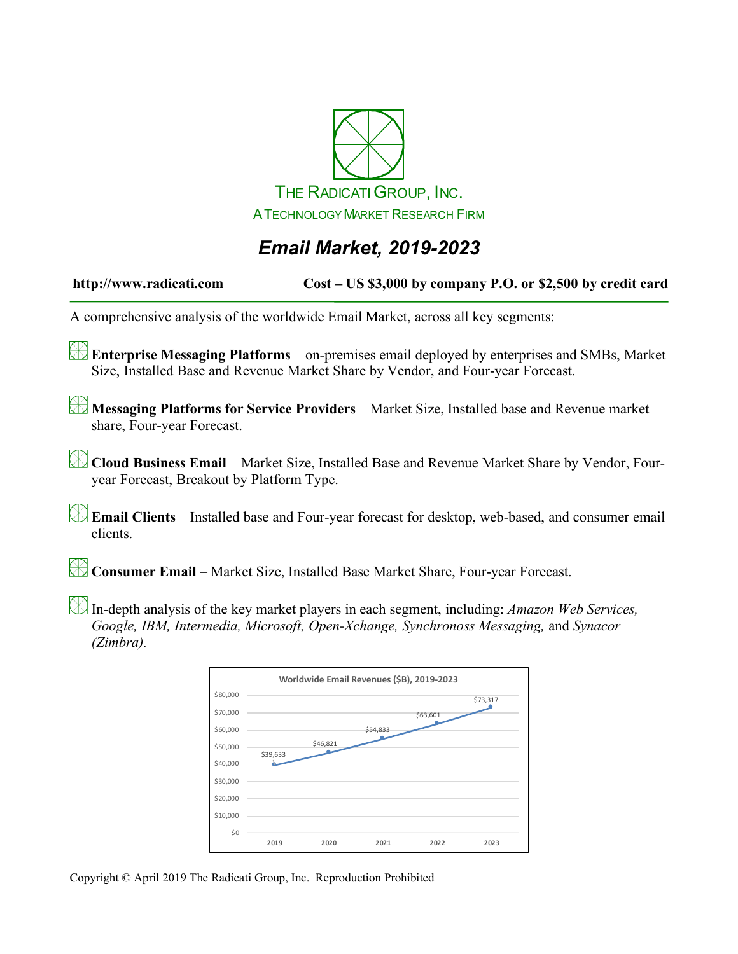

## *Email Market, 2019-2023*

**http://www.radicati.com Cost – US \$3,000 by company P.O. or \$2,500 by credit card**

A comprehensive analysis of the worldwide Email Market, across all key segments:

**Enterprise Messaging Platforms** – on-premises email deployed by enterprises and SMBs, Market Size, Installed Base and Revenue Market Share by Vendor, and Four-year Forecast.

**Messaging Platforms for Service Providers** – Market Size, Installed base and Revenue market share, Four-year Forecast.

**Cloud Business Email** – Market Size, Installed Base and Revenue Market Share by Vendor, Fouryear Forecast, Breakout by Platform Type.

**Email Clients** – Installed base and Four-year forecast for desktop, web-based, and consumer email clients.

**Consumer Email** – Market Size, Installed Base Market Share, Four-year Forecast.

In-depth analysis of the key market players in each segment, including: *Amazon Web Services, Google, IBM, Intermedia, Microsoft, Open-Xchange, Synchronoss Messaging,* and *Synacor (Zimbra).*

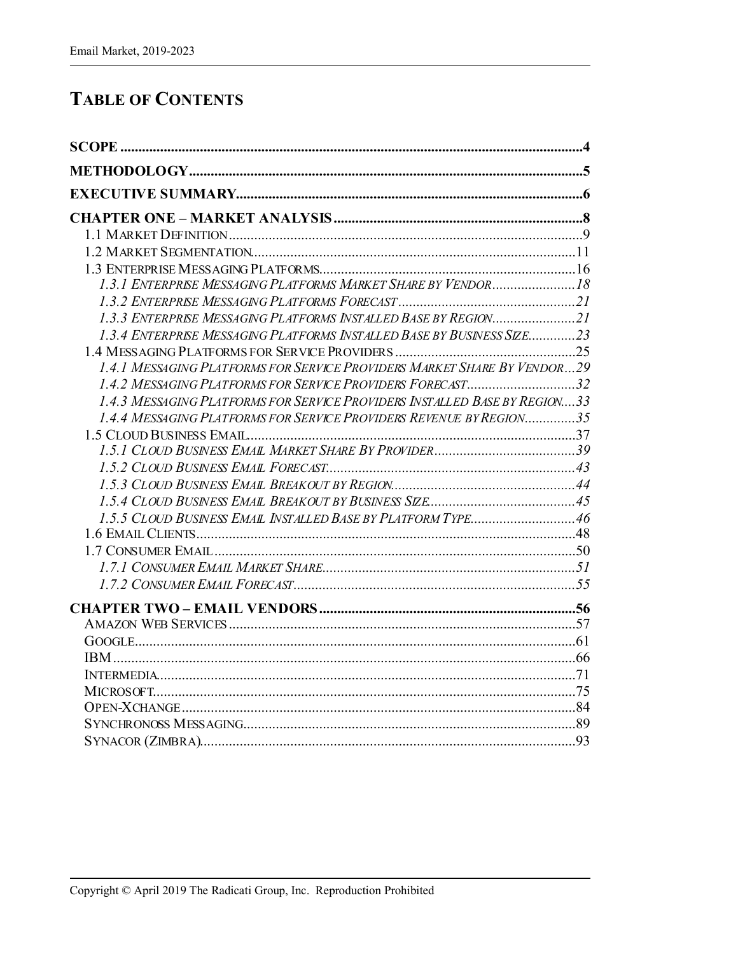## **TABLE OF CONTENTS**

| 1.3.4 ENTERPRISE MESSAGING PLATFORMS INSTALLED BASE BY BUSINESS SIZE23     |  |
|----------------------------------------------------------------------------|--|
|                                                                            |  |
| 1.4.1 MESSAGING PLATFORMS FOR SERVICE PROVIDERS MARKET SHARE BY VENDOR29   |  |
| 1.4.2 MESSAGING PLATFORMS FOR SERVICE PROVIDERS FORECAST32                 |  |
| 1.4.3 MESSAGING PLATFORMS FOR SERVICE PROVIDERS INSTALLED BASE BY REGION33 |  |
| 1.4.4 MESSAGING PLATFORMS FOR SERVICE PROVIDERS REVENUE BY REGION35        |  |
|                                                                            |  |
|                                                                            |  |
|                                                                            |  |
|                                                                            |  |
|                                                                            |  |
| 1.5.5 CLOUD BUSINESS EMAIL INSTALLED BASE BY PLATFORM TYPE46               |  |
|                                                                            |  |
|                                                                            |  |
|                                                                            |  |
|                                                                            |  |
|                                                                            |  |
|                                                                            |  |
|                                                                            |  |
|                                                                            |  |
|                                                                            |  |
|                                                                            |  |
|                                                                            |  |
|                                                                            |  |
|                                                                            |  |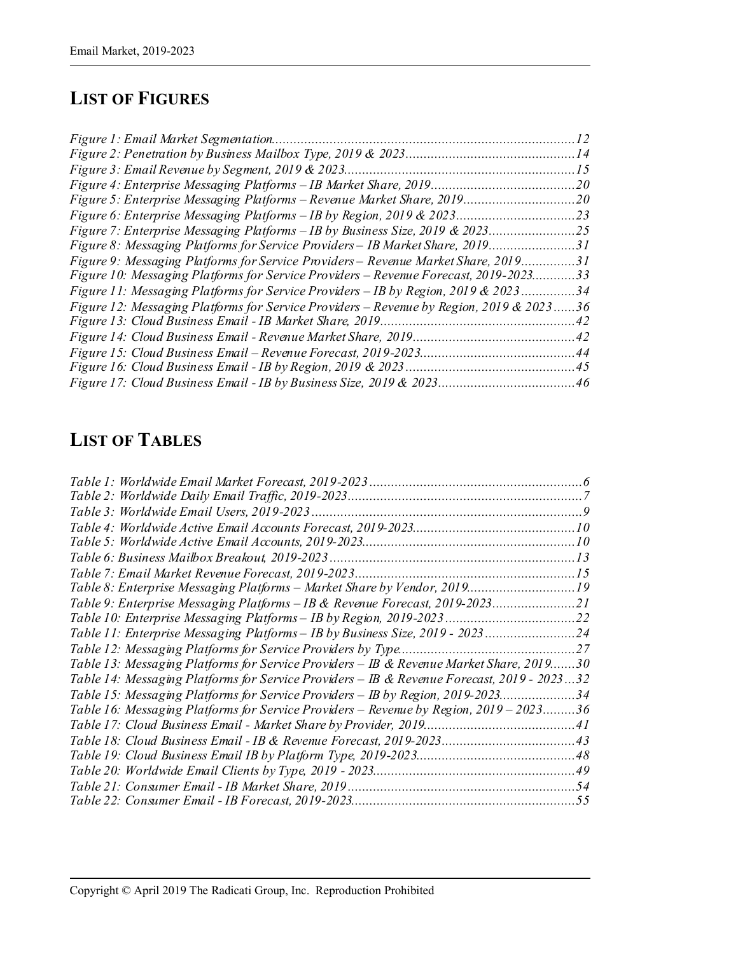# **LIST OF FIGURES**

| Figure 1: Email Market Segmentation                                                    | 12          |
|----------------------------------------------------------------------------------------|-------------|
|                                                                                        | .14         |
| Figure 3: Email Revenue by Segment, 2019 & 2023                                        | 15          |
|                                                                                        | 20          |
| Figure 5: Enterprise Messaging Platforms - Revenue Market Share, 2019                  | .20         |
| Figure 6: Enterprise Messaging Platforms – IB by Region, 2019 & 2023                   | 23          |
| Figure 7: Enterprise Messaging Platforms – IB by Business Size, 2019 & 2023            | 25          |
| Figure 8: Messaging Platforms for Service Providers – IB Market Share, 2019            | .31         |
| Figure 9: Messaging Platforms for Service Providers – Revenue Market Share, 2019       | .31         |
| Figure 10: Messaging Platforms for Service Providers - Revenue Forecast, 2019-2023     | 33          |
| Figure 11: Messaging Platforms for Service Providers – IB by Region, 2019 & 2023       | .34         |
| Figure 12: Messaging Platforms for Service Providers – Revenue by Region, 2019 & 2023. | $\ldots$ 36 |
| Figure 13: Cloud Business Email - IB Market Share, 2019                                | .42         |
|                                                                                        | .42         |
| Figure 15: Cloud Business Email – Revenue Forecast, 2019-2023                          | .44         |
| Figure 16: Cloud Business Email - IB by Region, 2019 & 2023.                           | 45          |
| Figure 17: Cloud Business Email - IB by Business Size, 2019 & 2023.                    | .46         |

### **LIST OF TABLES**

| Table 3: Worldwide Email Users, 2019-2023                                                  |  |
|--------------------------------------------------------------------------------------------|--|
|                                                                                            |  |
|                                                                                            |  |
|                                                                                            |  |
|                                                                                            |  |
| Table 8: Enterprise Messaging Platforms - Market Share by Vendor, 201919                   |  |
| Table 9: Enterprise Messaging Platforms - IB & Revenue Forecast, 2019-2023                 |  |
| Table 10: Enterprise Messaging Platforms – IB by Region, 2019-202322                       |  |
| Table 11: Enterprise Messaging Platforms – IB by Business Size, 2019 - 202324              |  |
|                                                                                            |  |
| Table 13: Messaging Platforms for Service Providers – IB & Revenue Market Share, 201930    |  |
| Table 14: Messaging Platforms for Service Providers – IB & Revenue Forecast, 2019 - 202332 |  |
| Table 15: Messaging Platforms for Service Providers - IB by Region, 2019-202334            |  |
| Table 16: Messaging Platforms for Service Providers – Revenue by Region, 2019 – 202336     |  |
|                                                                                            |  |
|                                                                                            |  |
|                                                                                            |  |
|                                                                                            |  |
|                                                                                            |  |
|                                                                                            |  |